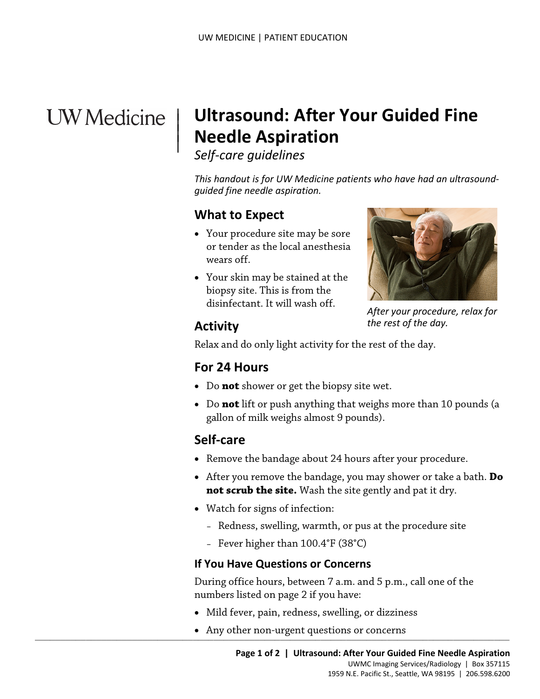# **UW** Medicine

 $\vert$  $\parallel$ 

## | **Ultrasound: After Your Guided Fine Needle Aspiration**

*Self-care guidelines* 

*This handout is for UW Medicine patients who have had an ultrasoundguided fine needle aspiration.* 

### **What to Expect**

- Your procedure site may be sore or tender as the local anesthesia wears off.
- Your skin may be stained at the biopsy site. This is from the disinfectant. It will wash off.



*After your procedure, relax for the rest of the day.* 

#### **Activity**

Relax and do only light activity for the rest of the day.

#### **For 24 Hours**

- Do **not** shower or get the biopsy site wet.
- • Do **not** lift or push anything that weighs more than 10 pounds (a gallon of milk weighs almost 9 pounds).

## **Self-care**

- Remove the bandage about 24 hours after your procedure.
- **not scrub the site.** Wash the site gently and pat it dry. • After you remove the bandage, you may shower or take a bath. **Do**
- Watch for signs of infection:
	- Redness, swelling, warmth, or pus at the procedure site
	- Fever higher than 100.4°F (38°C)

#### **If You Have Questions or Concerns**

During office hours, between 7 a.m. and 5 p.m., call one of the numbers listed on page 2 if you have:

- Mild fever, pain, redness, swelling, or dizziness
- • Any other non-urgent questions or concerns  $\frac{1}{2}$  . The contribution of the contribution of  $\frac{1}{2}$  ,  $\frac{1}{2}$  ,  $\frac{1}{2}$  ,  $\frac{1}{2}$  ,  $\frac{1}{2}$  ,  $\frac{1}{2}$  ,  $\frac{1}{2}$  ,  $\frac{1}{2}$  ,  $\frac{1}{2}$  ,  $\frac{1}{2}$  ,  $\frac{1}{2}$  ,  $\frac{1}{2}$  ,  $\frac{1}{2}$  ,  $\frac{1}{2}$  ,